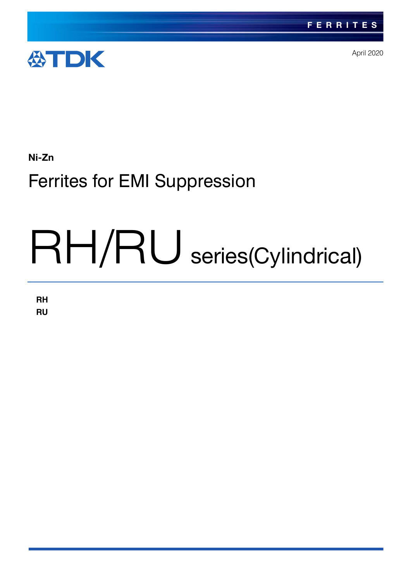

April 2020

# Ni-Zn

# Ferrites for EMI Suppression

# RH/RU series(Cylindrical)

**RH RU**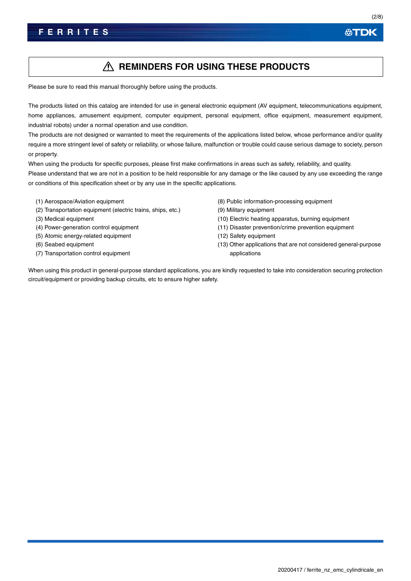# **REMINDERS FOR USING THESE PRODUCTS**

Please be sure to read this manual thoroughly before using the products.

The products listed on this catalog are intended for use in general electronic equipment (AV equipment, telecommunications equipment, home appliances, amusement equipment, computer equipment, personal equipment, office equipment, measurement equipment, industrial robots) under a normal operation and use condition.

The products are not designed or warranted to meet the requirements of the applications listed below, whose performance and/or quality require a more stringent level of safety or reliability, or whose failure, malfunction or trouble could cause serious damage to society, person or property.

When using the products for specific purposes, please first make confirmations in areas such as safety, reliability, and quality. Please understand that we are not in a position to be held responsible for any damage or the like caused by any use exceeding the range or conditions of this specification sheet or by any use in the specific applications.

- (1) Aerospace/Aviation equipment
- (2) Transportation equipment (electric trains, ships, etc.)
- (3) Medical equipment
- (4) Power-generation control equipment
- (5) Atomic energy-related equipment
- (6) Seabed equipment
- (7) Transportation control equipment
- (8) Public information-processing equipment
- (9) Military equipment
- (10) Electric heating apparatus, burning equipment
- (11) Disaster prevention/crime prevention equipment
- (12) Safety equipment
- (13) Other applications that are not considered general-purpose applications

When using this product in general-purpose standard applications, you are kindly requested to take into consideration securing protection circuit/equipment or providing backup circuits, etc to ensure higher safety.

公TDK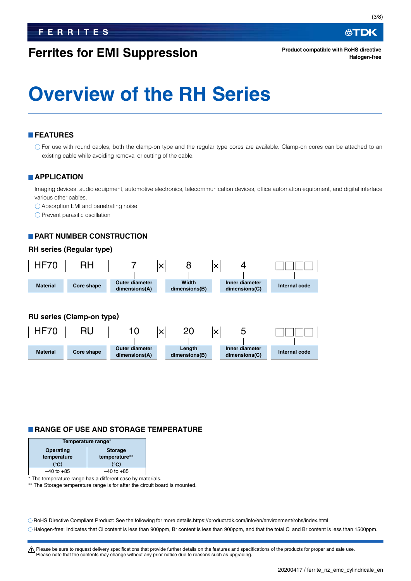# **Ferrites for EMI Suppression**

∰TDK

**Product compatible with RoHS directive Halogen-free**

# **Overview of the RH Series**

# **FEATURES**

For use with round cables, both the clamp-on type and the regular type cores are available. Clamp-on cores can be attached to an existing cable while avoiding removal or cutting of the cable.

### **APPLICATION**

Imaging devices, audio equipment, automotive electronics, telecommunication devices, office automation equipment, and digital interface various other cables.

Absorption EMI and penetrating noise

 $\bigcirc$  Prevent parasitic oscillation

## **PART NUMBER CONSTRUCTION**

### **RH series (Regular type)**



# **RU series (Clamp-on type)**



# **RANGE OF USE AND STORAGE TEMPERATURE**

| Temperature range*          |                |  |  |  |  |  |  |
|-----------------------------|----------------|--|--|--|--|--|--|
| Operating<br><b>Storage</b> |                |  |  |  |  |  |  |
| temperature                 | temperature**  |  |  |  |  |  |  |
| (°C)                        | (°C)           |  |  |  |  |  |  |
| $-40$ to $+85$              | $-40$ to $+85$ |  |  |  |  |  |  |

\* The temperature range has a different case by materials.

The Storage temperature range is for after the circuit board is mounted.

RoHS Directive Compliant Product: See the following for more details.https://product.tdk.com/info/en/environment/rohs/index.html

Halogen-free: Indicates that Cl content is less than 900ppm, Br content is less than 900ppm, and that the total Cl and Br content is less than 1500ppm.

A Please be sure to request delivery specifications that provide further details on the features and specifications of the products for proper and safe use. Please note that the contents may change without any prior notice due to reasons such as upgrading.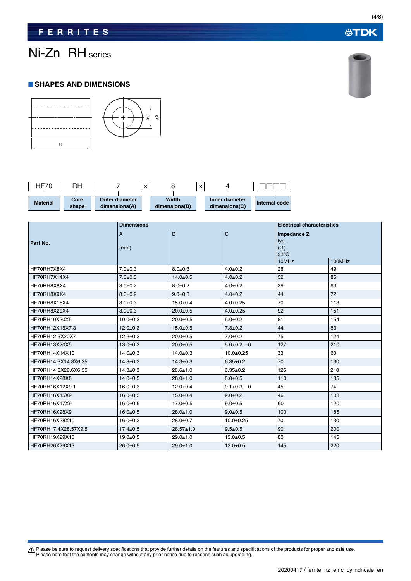# **公TDK**

(4/8)

# Ni-Zn RH series

# **SHAPES AND DIMENSIONS**





|                                | B                          |  |                                                               | 00<br>øΑ |                                    |                       |                                      |               |                                                              |                                   |        |  |
|--------------------------------|----------------------------|--|---------------------------------------------------------------|----------|------------------------------------|-----------------------|--------------------------------------|---------------|--------------------------------------------------------------|-----------------------------------|--------|--|
| <b>HF70</b><br><b>Material</b> | <b>RH</b><br>Core<br>shape |  | 7<br>$\boldsymbol{\times}$<br>Outer diameter<br>dimensions(A) |          | 8<br><b>Width</b><br>dimensions(B) | $\boldsymbol{\times}$ | 4<br>Inner diameter<br>dimensions(C) | Internal code |                                                              |                                   |        |  |
| Part No.                       |                            |  | <b>Dimensions</b><br>A<br>(mm)                                |          | B                                  |                       | C                                    |               | Impedance Z<br>typ.<br>$(\Omega)$<br>$23^{\circ}$ C<br>10MHz | <b>Electrical characteristics</b> | 100MHz |  |
| HF70RH7X8X4                    |                            |  | $7.0 \pm 0.3$                                                 |          |                                    | $8.0 + 0.3$           |                                      | $4.0 + 0.2$   |                                                              |                                   | 49     |  |
| HF70RH7X14X4                   |                            |  | $7.0 + 0.3$                                                   |          | $14.0 + 0.5$                       |                       | $4.0 + 0.2$                          |               | 52                                                           |                                   | 85     |  |
| HF70RH8X8X4                    |                            |  | $8.0 + 0.2$                                                   |          | $8.0 + 0.2$                        |                       | $4.0 + 0.2$                          |               | 39                                                           |                                   | 63     |  |
| HF70RH8X9X4                    |                            |  | $8.0 + 0.2$                                                   |          | $9.0 + 0.3$                        |                       | $4.0 + 0.2$                          |               | 44                                                           |                                   | 72     |  |
| HF70RH8X15X4                   |                            |  | $8.0 + 0.3$                                                   |          | $15.0 + 0.4$                       |                       | $4.0 + 0.25$                         |               | 70                                                           |                                   | 113    |  |
| HF70RH8X20X4                   |                            |  | $8.0 + 0.3$                                                   |          | $20.0 + 0.5$                       |                       | $4.0 + 0.25$                         |               | 92                                                           |                                   | 151    |  |
| HF70RH10X20X5                  |                            |  | $10.0 + 0.3$                                                  |          | $20.0 + 0.5$                       |                       | $5.0 + 0.2$                          |               | 81                                                           |                                   | 154    |  |
| HF70RH12X15X7.3                |                            |  | $12.0 + 0.3$                                                  |          | $15.0 + 0.5$                       |                       | $7.3 \pm 0.2$                        |               | 44                                                           |                                   | 83     |  |
| HF70RH12.3X20X7                |                            |  | $12.3 \pm 0.3$                                                |          | $20.0 + 0.5$                       |                       | $7.0 + 0.2$                          |               | 75                                                           |                                   | 124    |  |
| HF70RH13X20X5                  |                            |  | $13.0 + 0.3$                                                  |          | $20.0 + 0.5$                       |                       | $5.0 + 0.2, -0$                      |               | 127                                                          |                                   | 210    |  |
| HF70RH14X14X10                 |                            |  | $14.0 + 0.3$                                                  |          | $14.0 + 0.3$                       |                       | $10.0 + 0.25$                        |               | 33                                                           |                                   | 60     |  |
| HF70RH14.3X14.3X6.35           |                            |  | $14.3 \pm 0.3$                                                |          | $14.3 \pm 0.3$                     |                       | $6.35 \pm 0.2$                       |               | 70                                                           |                                   | 130    |  |
| HF70RH14.3X28.6X6.35           |                            |  | $14.3 \pm 0.3$                                                |          | $28.6 \pm 1.0$                     |                       | $6.35 \pm 0.2$                       |               | 125                                                          |                                   | 210    |  |
| HF70RH14X28X8                  |                            |  | $14.0 + 0.5$                                                  |          | $28.0 \pm 1.0$                     |                       | $8.0 + 0.5$                          |               | 110                                                          |                                   | 185    |  |
| HF70RH16X12X9.1                |                            |  | $16.0 + 0.3$                                                  |          | $12.0 + 0.4$                       |                       | $9.1 + 0.3 - 0$                      |               | 45                                                           |                                   | 74     |  |
| HF70RH16X15X9                  |                            |  | $16.0 + 0.3$                                                  |          | $15.0 + 0.4$                       |                       | $9.0 + 0.2$                          |               | 46                                                           |                                   | 103    |  |
| HF70RH16X17X9                  |                            |  | $16.0 + 0.5$                                                  |          | $17.0 + 0.5$                       |                       | $9.0 + 0.5$                          |               | 60                                                           |                                   | 120    |  |
| HF70RH16X28X9                  |                            |  | $16.0 + 0.5$                                                  |          | $28.0 \pm 1.0$                     |                       | $9.0 + 0.5$                          |               | 100                                                          |                                   | 185    |  |
| HF70RH16X28X10                 |                            |  | $16.0 + 0.3$                                                  |          | $28.0 \pm 0.7$                     |                       | $10.0 + 0.25$                        |               | 70                                                           |                                   | 130    |  |
| HF70RH17.4X28.57X9.5           |                            |  | $17.4 \pm 0.5$                                                |          |                                    | $28.57 \pm 1.0$       |                                      | $9.5 \pm 0.5$ |                                                              |                                   | 200    |  |
| HF70RH19X29X13                 |                            |  | $19.0 + 0.5$                                                  |          | $29.0 \pm 1.0$                     |                       |                                      | $13.0 + 0.5$  |                                                              |                                   | 145    |  |
| HF70RH26X29X13                 |                            |  | $26.0 + 0.5$                                                  |          | $29.0 \pm 1.0$                     |                       | $13.0 + 0.5$                         |               | 145                                                          |                                   | 220    |  |

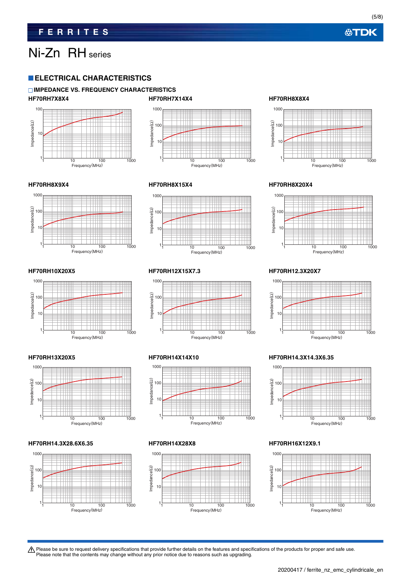(5/8)

# Ni-Zn RH series

# **ELECTRICAL CHARACTERISTICS**

### **IMPEDANCE VS. FREQUENCY CHARACTERISTICS HF70RH7X8X4 HF70RH7X14X4 HF70RH8X8X4**





1000

100

Impedance(Ω)

10

1





### **HF70RH8X9X4 HF70RH8X15X4 HF70RH8X20X4**







### **HF70RH14.3X28.6X6.35 HF70RH14X28X8 HF70RH16X12X9.1**











1 10 100 1000 Frequency(MHz)

### **HF70RH13X20X5 HF70RH14X14X10 HF70RH14.3X14.3X6.35**



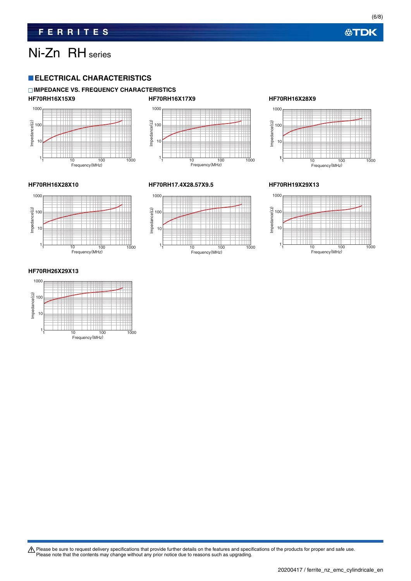(6/8)

# Ni-Zn RH series

# **ELECTRICAL CHARACTERISTICS**

### **IMPEDANCE VS. FREQUENCY CHARACTERISTICS HF70RH16X15X9 HF70RH16X17X9 HF70RH16X28X9**









### **HF70RH16X28X10 HF70RH17.4X28.57X9.5 HF70RH19X29X13**





### **HF70RH26X29X13**

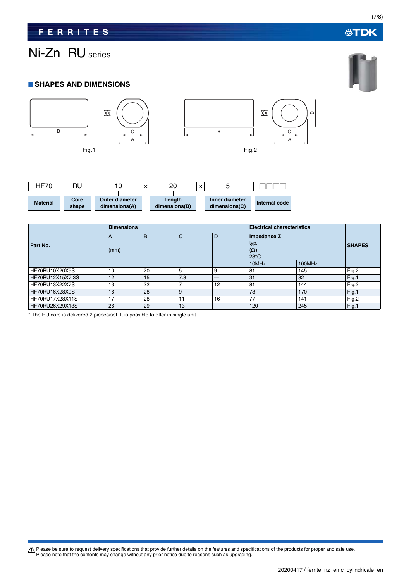# Ni-Zn RU series

# **SHAPES AND DIMENSIONS**



| HF70            | RU            |                                        |  | nr<br>$\checkmark$<br>۷Z<br>⌒ |  |                                 |               |  |
|-----------------|---------------|----------------------------------------|--|-------------------------------|--|---------------------------------|---------------|--|
| <b>Material</b> | Core<br>shape | <b>Outer diameter</b><br>dimensions(A) |  | Length<br>dimensions(B)       |  | Inner diameter<br>dimensions(C) | Internal code |  |

|                       | <b>Dimensions</b>      |    |     |     | <b>Electrical characteristics</b>                            |        |       |
|-----------------------|------------------------|----|-----|-----|--------------------------------------------------------------|--------|-------|
| Part No.              | $\overline{A}$<br>(mm) | B  | C   | l D | Impedance Z<br>typ.<br>$(\Omega)$<br>$23^{\circ}$ C<br>10MHz | 100MHz |       |
| HF70RU10X20X5S        | 10                     | 20 | 5   | 9   | 81                                                           | 145    | Fig.2 |
| HF70RU12X15X7.3S      | 12                     | 15 | 7.3 |     | 31                                                           | 82     | Fig.1 |
| <b>HF70RU13X22X7S</b> | 13                     | 22 |     | 12  | 81                                                           | 144    | Fig.2 |
| HF70RU16X28X9S        | 16                     | 28 | 9   |     | 78                                                           | 170    | Fig.1 |
| HF70RU17X28X11S       | 17                     | 28 | 11  | 16  | 77                                                           | 141    | Fig.2 |
| HF70RU26X29X13S       | 26                     | 29 | 13  |     | 120                                                          | 245    | Fig.1 |

The RU core is delivered 2 pieces/set. It is possible to offer in single unit.